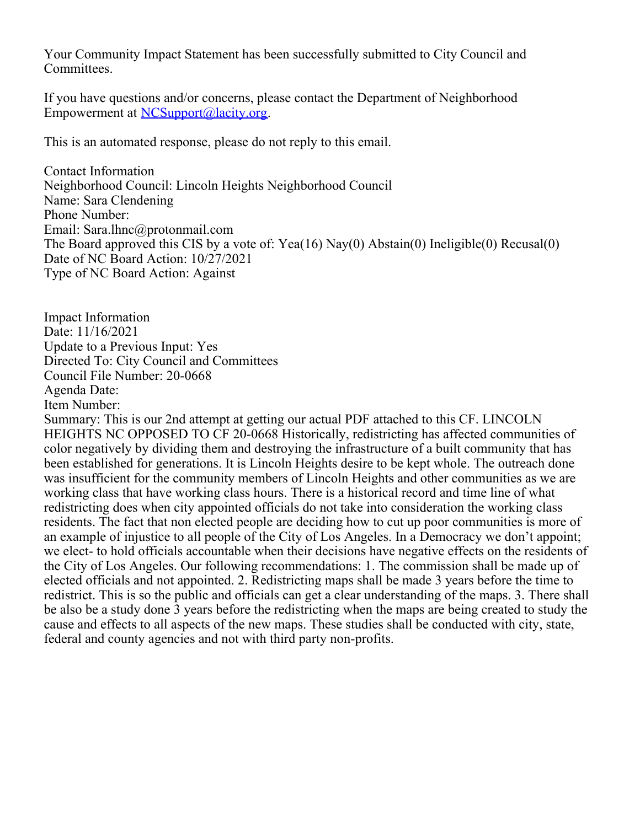Your Community Impact Statement has been successfully submitted to City Council and Committees.

If you have questions and/or concerns, please contact the Department of Neighborhood Empowerment at [NCSupport@lacity.org](mailto:NCSupport@lacity.org).

This is an automated response, please do not reply to this email.

Contact Information Neighborhood Council: Lincoln Heights Neighborhood Council Name: Sara Clendening Phone Number: Email: Sara.lhnc@protonmail.com The Board approved this CIS by a vote of: Yea(16) Nay(0) Abstain(0) Ineligible(0) Recusal(0) Date of NC Board Action: 10/27/2021 Type of NC Board Action: Against

Impact Information Date: 11/16/2021 Update to a Previous Input: Yes Directed To: City Council and Committees Council File Number: 20-0668 Agenda Date: Item Number:

Summary: This is our 2nd attempt at getting our actual PDF attached to this CF. LINCOLN HEIGHTS NC OPPOSED TO CF 20-0668 Historically, redistricting has affected communities of color negatively by dividing them and destroying the infrastructure of a built community that has been established for generations. It is Lincoln Heights desire to be kept whole. The outreach done was insufficient for the community members of Lincoln Heights and other communities as we are working class that have working class hours. There is a historical record and time line of what redistricting does when city appointed officials do not take into consideration the working class residents. The fact that non elected people are deciding how to cut up poor communities is more of an example of injustice to all people of the City of Los Angeles. In a Democracy we don't appoint; we elect- to hold officials accountable when their decisions have negative effects on the residents of the City of Los Angeles. Our following recommendations: 1. The commission shall be made up of elected officials and not appointed. 2. Redistricting maps shall be made 3 years before the time to redistrict. This is so the public and officials can get a clear understanding of the maps. 3. There shall be also be a study done 3 years before the redistricting when the maps are being created to study the cause and effects to all aspects of the new maps. These studies shall be conducted with city, state, federal and county agencies and not with third party non-profits.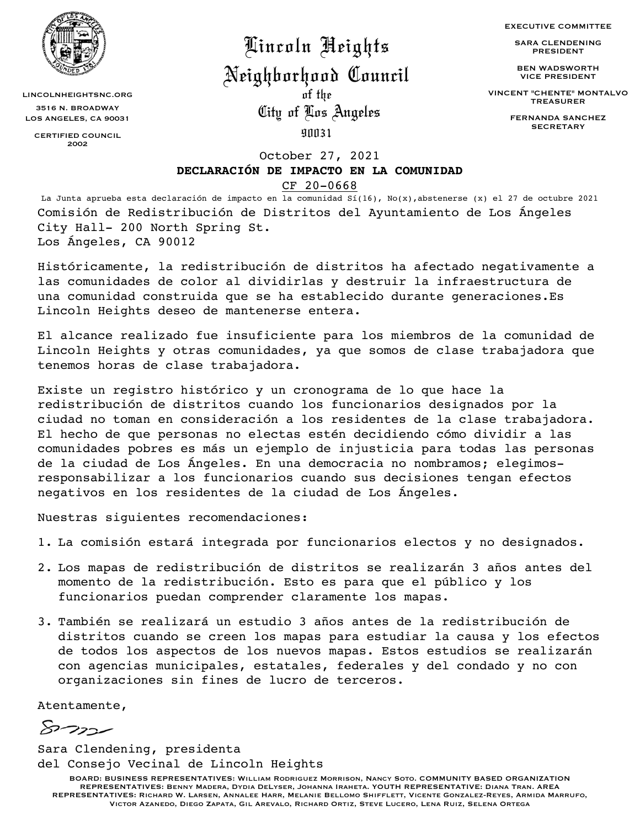

LINCOLNHEIGHTSNC.ORG 3516 N. BROADWAY LOS ANGELES, CA 90031

> CERTIFIED COUNCIL 2002

Lincoln Heights

## Neighborhood Council

City of Los Angeles of the

EXECUTIVE COMMITTEE

SARA CLENDENING PRESIDENT

BEN WADSWORTH VICE PRESIDENT

VINCENT "CHENTE" MONTALVO TREASURER

> FERNANDA SANCHEZ **SECRETARY**

90031

October 27, 2021

## **DECLARACIÓN DE IMPACTO EN LA COMUNIDAD**

## [CF 20-0668](https://cityclerk.lacity.org/lacityclerkconnect/index.cfm?fa=ccfi.viewrecord&cfnumber=20-0668-S1)

La Junta aprueba esta declaración de impacto en la comunidad Sí(16), No(x),abstenerse (x) el 27 de octubre 2021 Comisión de Redistribución de Distritos del Ayuntamiento de Los Ángeles City Hall- 200 North Spring St. Los Ángeles, CA 90012

Históricamente, la redistribución de distritos ha afectado negativamente a las comunidades de color al dividirlas y destruir la infraestructura de una comunidad construida que se ha establecido durante generaciones.Es Lincoln Heights deseo de mantenerse entera.

El alcance realizado fue insuficiente para los miembros de la comunidad de Lincoln Heights y otras comunidades, ya que somos de clase trabajadora que tenemos horas de clase trabajadora.

Existe un registro histórico y un cronograma de lo que hace la redistribución de distritos cuando los funcionarios designados por la ciudad no toman en consideración a los residentes de la clase trabajadora. El hecho de que personas no electas estén decidiendo cómo dividir a las comunidades pobres es más un ejemplo de injusticia para todas las personas de la ciudad de Los Ángeles. En una democracia no nombramos; elegimosresponsabilizar a los funcionarios cuando sus decisiones tengan efectos negativos en los residentes de la ciudad de Los Ángeles.

Nuestras siguientes recomendaciones:

- 1. La comisión estará integrada por funcionarios electos y no designados.
- 2. Los mapas de redistribución de distritos se realizarán 3 años antes del momento de la redistribución. Esto es para que el público y los funcionarios puedan comprender claramente los mapas.
- 3. También se realizará un estudio 3 años antes de la redistribución de distritos cuando se creen los mapas para estudiar la causa y los efectos de todos los aspectos de los nuevos mapas. Estos estudios se realizarán con agencias municipales, estatales, federales y del condado y no con organizaciones sin fines de lucro de terceros.

Atentamente,

ستةوسر

Sara Clendening, presidenta del Consejo Vecinal de Lincoln Heights